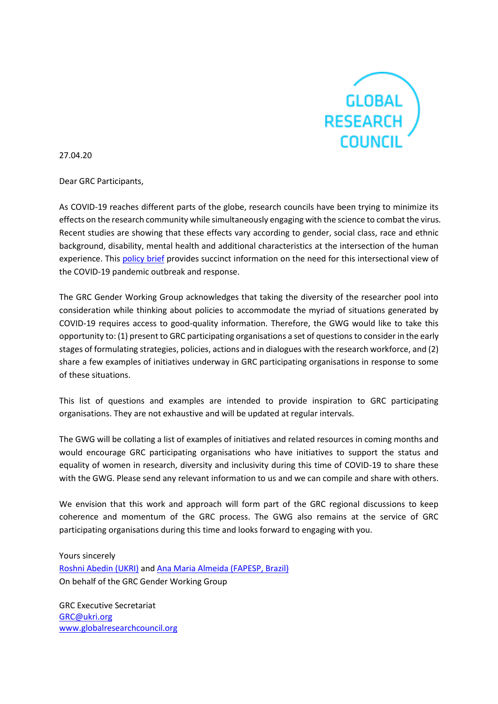

27.04.20

Dear GRC Participants,

As COVID-19 reaches different parts of the globe, research councils have been trying to minimize its effects on the research community while simultaneously engaging with the science to combat the virus. Recent studies are showing that these effects vary according to gender, social class, race and ethnic background, disability, mental health and additional characteristics at the intersection of the human experience. This [policy brief](https://mspgh.unimelb.edu.au/__data/assets/pdf_file/0011/3334889/Policy-brief_v3.pdf) provides succinct information on the need for this intersectional view of the COVID-19 pandemic outbreak and response.

The GRC Gender Working Group acknowledges that taking the diversity of the researcher pool into consideration while thinking about policies to accommodate the myriad of situations generated by COVID-19 requires access to good-quality information. Therefore, the GWG would like to take this opportunity to: (1) present to GRC participating organisations a set of questions to consider in the early stages of formulating strategies, policies, actions and in dialogues with the research workforce, and (2) share a few examples of initiatives underway in GRC participating organisations in response to some of these situations.

This list of questions and examples are intended to provide inspiration to GRC participating organisations. They are not exhaustive and will be updated at regular intervals.

The GWG will be collating a list of examples of initiatives and related resources in coming months and would encourage GRC participating organisations who have initiatives to support the status and equality of women in research, diversity and inclusivity during this time of COVID-19 to share these with the GWG. Please send any relevant information to us and we can compile and share with others.

We envision that this work and approach will form part of the GRC regional discussions to keep coherence and momentum of the GRC process. The GWG also remains at the service of GRC participating organisations during this time and looks forward to engaging with you.

Yours sincerely [Roshni Abedin \(UKRI\)](mailto:%20roshni.abedin@ukri.org) an[d Ana Maria Almeida \(FAPESP, Brazil\)](mailto:Ana%20Maria%20F.%20Almeida%20%3cana.maria.f.almeida@gmail.com%3e) On behalf of the GRC Gender Working Group

GRC Executive Secretariat [GRC@ukri.org](mailto:GRC@ukri.org) [www.globalresearchcouncil.org](https://eur03.safelinks.protection.outlook.com/?url=http%3A%2F%2Fwww.globalresearchcouncil.org%2F&data=02%7C01%7C%7C9c8b07baae63405ee92508d7ea9a64b0%7C09b65cf9ca8f47609efcce939096b842%7C0%7C0%7C637235822379538279&sdata=CuYOUfngdXM4bnJ%2BxsnDgc9ZbXSZLbjyd4n9m7hyF28%3D&reserved=0)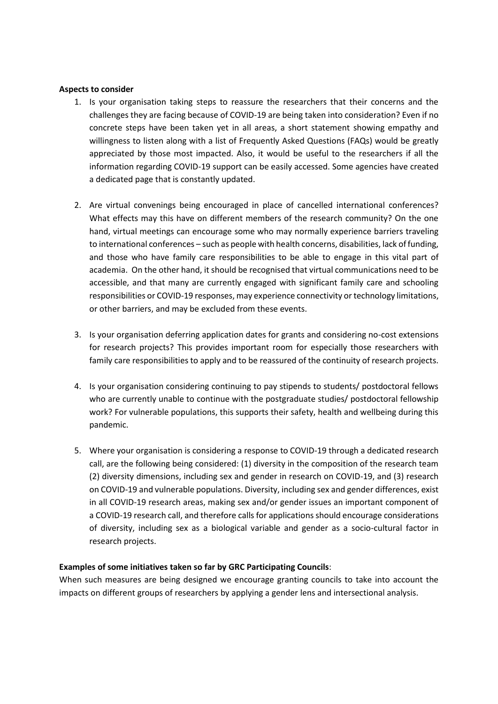#### **Aspects to consider**

- 1. Is your organisation taking steps to reassure the researchers that their concerns and the challenges they are facing because of COVID-19 are being taken into consideration? Even if no concrete steps have been taken yet in all areas, a short statement showing empathy and willingness to listen along with a list of Frequently Asked Questions (FAQs) would be greatly appreciated by those most impacted. Also, it would be useful to the researchers if all the information regarding COVID-19 support can be easily accessed. Some agencies have created a dedicated page that is constantly updated.
- 2. Are virtual convenings being encouraged in place of cancelled international conferences? What effects may this have on different members of the research community? On the one hand, virtual meetings can encourage some who may normally experience barriers traveling to international conferences – such as people with health concerns, disabilities, lack of funding, and those who have family care responsibilities to be able to engage in this vital part of academia. On the other hand, it should be recognised that virtual communications need to be accessible, and that many are currently engaged with significant family care and schooling responsibilities or COVID-19 responses, may experience connectivity or technology limitations, or other barriers, and may be excluded from these events.
- 3. Is your organisation deferring application dates for grants and considering no-cost extensions for research projects? This provides important room for especially those researchers with family care responsibilities to apply and to be reassured of the continuity of research projects.
- 4. Is your organisation considering continuing to pay stipends to students/ postdoctoral fellows who are currently unable to continue with the postgraduate studies/ postdoctoral fellowship work? For vulnerable populations, this supports their safety, health and wellbeing during this pandemic.
- 5. Where your organisation is considering a response to COVID-19 through a dedicated research call, are the following being considered: (1) diversity in the composition of the research team (2) diversity dimensions, including sex and gender in research on COVID-19, and (3) research on COVID-19 and vulnerable populations. Diversity, including sex and gender differences, exist in all COVID-19 research areas, making sex and/or gender issues an important component of a COVID-19 research call, and therefore calls for applications should encourage considerations of diversity, including sex as a biological variable and gender as a socio-cultural factor in research projects.

### **Examples of some initiatives taken so far by GRC Participating Councils**:

When such measures are being designed we encourage granting councils to take into account the impacts on different groups of researchers by applying a gender lens and intersectional analysis.